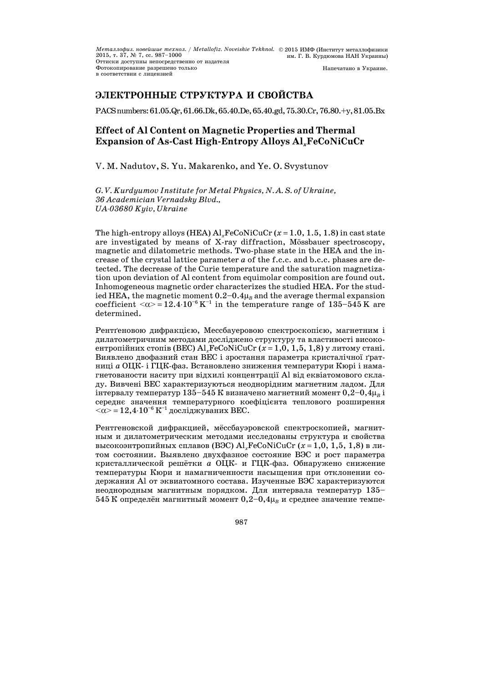# **ЭЛЕКТРОННЫЕ СТРУКТУРА И СВОЙСТВА**

PACSnumbers:61.05.Qr,61.66.Dk,65.40.De,65.40.gd,75.30.Cr,76.80.+y,81.05.Bx

# **Effect of Al Content on Magnetic Properties and Thermal Expansion of As-Cast High-Entropy Alloys Al***x***FeCoNiCuCr**

V. M. Nadutov, S. Yu. Makarenko, and Ye. O. Svystunov

*G. V. Kurdyumov Institute for Metal Physics, N. A. S. of Ukraine, 36 Academician Vernadsky Blvd., UA-03680 Kyiv, Ukraine* 

The high-entropy alloys (HEA)  $\text{Al}_{x}\text{FeCoNiCuCr}$  ( $x=1.0, 1.5, 1.8$ ) in cast state are investigated by means of X-ray diffraction, Mössbauer spectroscopy, magnetic and dilatometric methods. Two-phase state in the HEA and the increase of the crystal lattice parameter *а* of the f.c.c. and b.c.c. phases are detected. The decrease of the Curie temperature and the saturation magnetization upon deviation of Al content from equimolar composition are found out. Inhomogeneous magnetic order characterizes the studied HEA. For the studied HEA, the magnetic moment  $0.2-0.4\mu$ <sub>B</sub> and the average thermal expansion coefficient  $\langle \alpha \rangle = 12.4 \cdot 10^{-6} \text{ K}^{-1}$  in the temperature range of 135-545 K are determined.

Рентґеновою дифракцією, Мессбауеровою спектроскопією, магнетним і дилатометричним методами досліджено структуру та властивості високоентропійних стопів (ВЕС)  $\text{Al}_{x}\text{FeCoNiCuCr}$  ( $x=1,0, 1,5, 1,8$ ) у литому стані. Виявлено двофазний стан ВЕС і зростання параметра кристалічної ґратниці *а* ОЦК- і ГЦК-фаз. Встановлено зниження температури Кюрі і намагнетованости наситу при відхилі концентрації Al від еквіатомового складу. Вивчені ВЕС характеризуються неоднорідним магнетним ладом. Для інтервалу температур 135–545 К визначено магнетний момент  $0.2-0.4\mu_{\rm B}$  і середнє значення температурного коефіцієнта теплового розширення  $<\!\!\alpha\!\!>=12,4\!\cdot\!10^{-6}\,\mathrm{K}^{-1}$  досліджуваних ВЕС.

Рентгеновской дифракцией, мёссбауэровской спектроскопией, магнитным и дилатометрическим методами исследованы структура и свойства высокоэнтропийных сплавов (ВЭС) Al<sub>x</sub>FeCoNiCuCr ( $x = 1,0, 1,5, 1,8$ ) в литом состоянии. Выявлено двухфазное состояние ВЭС и рост параметра кристаллической решётки *a* ОЦК- и ГЦК-фаз. Обнаружено снижение температуры Кюри и намагниченности насыщения при отклонении содержания Al от эквиатомного состава. Изученные ВЭС характеризуются неоднородным магнитным порядком. Для интервала температур 135— 545 К определён магнитный момент  $0,2-0,4\mu_B$  и среднее значение темпе-

987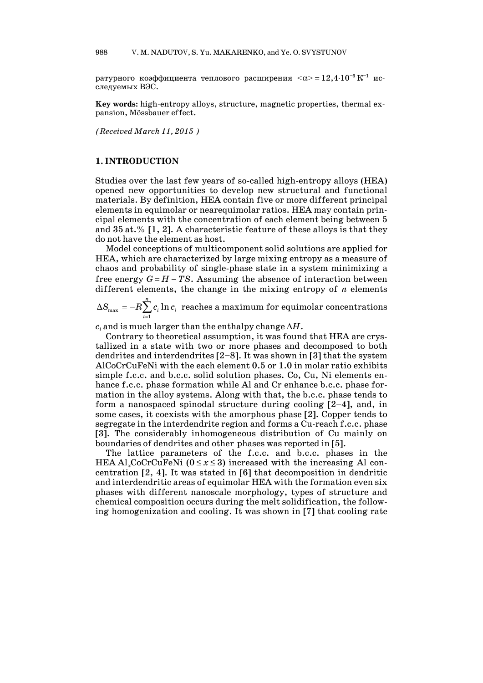ратурного коэффициента теплового расширения  $\langle \alpha \rangle = 12,4 \cdot 10^{-6} \text{ K}^{-1}$  исследуемых ВЭС.

**Key words:** high-entropy alloys, structure, magnetic properties, thermal expansion, Mössbauer effect.

*(Received March 11, 2015 )*

#### **1. INTRODUCTION**

Studies over the last few years of so-called high-entropy alloys (HEA) opened new opportunities to develop new structural and functional materials. By definition, HEA contain five or more different principal elements in equimolar or nearequimolar ratios. HEA may contain principal elements with the concentration of each element being between 5 and  $35$  at.% [1, 2]. A characteristic feature of these alloys is that they do not have the element as host.

 Model conceptions of multicomponent solid solutions are applied for HEA, which are characterized by large mixing entropy as a measure of chaos and probability of single-phase state in a system minimizing a free energy  $G = H - TS$ . Assuming the absence of interaction between different elements, the change in the mixing entropy of *n* elements

 $\sum_{i=1}$  $\Delta S_{\rm max}^{}=-R\sum^{n}{}% \Delta S_{\rm max}^{}=0.1~\mathrm{MeV}^{-1}$  $S_{\max} = -R{\sum_{i=1}^{} {{c_i}} \ln {c_i}}$  reaches a maximum for equimolar concentrations

 $c_i$  and is much larger than the enthalpy change  $\Delta H$ .

 Contrary to theoretical assumption, it was found that HEA are crystallized in a state with two or more phases and decomposed to both dendrites and interdendrites [2—8]. It was shown in [3] that the system AlCoCrCuFeNi with the each element 0.5 or 1.0 in molar ratio exhibits simple f.c.c. and b.c.c. solid solution phases. Co, Cu, Ni elements enhance f.c.c. phase formation while Al and Cr enhance b.c.c. phase formation in the alloy systems. Along with that, the b.c.c. phase tends to form a nanospaced spinodal structure during cooling  $[2-4]$ , and, in some cases, it coexists with the amorphous phase [2]. Copper tends to segregate in the interdendrite region and forms a Cu-reach f.c.c. phase [3]. The considerably inhomogeneous distribution of Cu mainly on boundaries of dendrites and other phases was reported in [5].

 The lattice parameters of the f.c.c. and b.c.c. phases in the HEA Al<sub>x</sub>CoCrCuFeNi  $(0 \le x \le 3)$  increased with the increasing Al concentration [2, 4]. It was stated in [6] that decomposition in dendritic and interdendritic areas of equimolar HEA with the formation even six phases with different nanoscale morphology, types of structure and chemical composition occurs during the melt solidification, the following homogenization and cooling. It was shown in [7] that cooling rate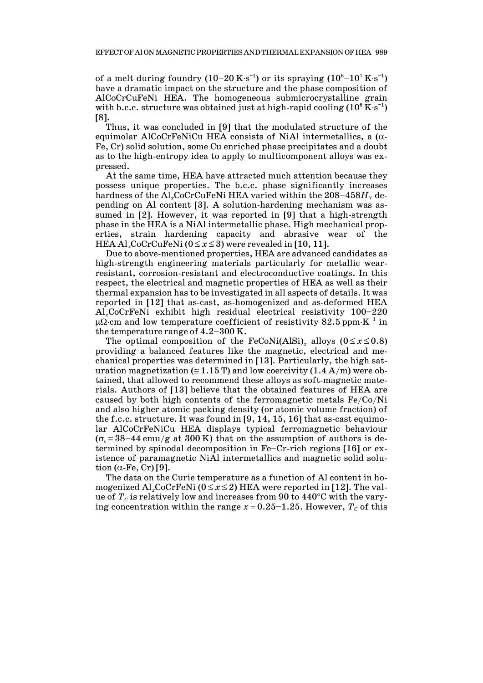of a melt during foundry (10–20 K·s<sup>-1</sup>) or its spraying (10<sup>6</sup>–10<sup>7</sup> K·s<sup>-1</sup>) have a dramatic impact on the structure and the phase composition of AlCoCrCuFeNi HEA. The homogeneous submicrocrystalline grain with b.c.c. structure was obtained just at high-rapid cooling  $(10^6\,\mathrm{K}\cdot\mathrm{s}^{-1})$ [8].

 Thus, it was concluded in [9] that the modulated structure of the equimolar AlCoCrFeNiCu HEA consists of NiAl intermetallics, a  $(\alpha$ -Fe, Cr) solid solution, some Cu enriched phase precipitates and a doubt as to the high-entropy idea to apply to multicomponent alloys was expressed.

 At the same time, HEA have attracted much attention because they possess unique properties. The b.c.c. phase significantly increases hardness of the Al<sub>x</sub>CoCrCuFeNi HEA varied within the  $208-458H_v$  depending on Al content [3]. A solution-hardening mechanism was assumed in [2]. However, it was reported in [9] that a high-strength phase in the HEA is a NiAl intermetallic phase. High mechanical properties, strain hardening capacity and abrasive wear of the HEA  $Al_xCoCrCuFeNi$  ( $0 \le x \le 3$ ) were revealed in [10, 11].

 Due to above-mentioned properties, HEA are advanced candidates as high-strength engineering materials particularly for metallic wearresistant, corrosion-resistant and electroconductive coatings. In this respect, the electrical and magnetic properties of HEA as well as their thermal expansion has to be investigated in all aspects of details. It was reported in [12] that as-cast, as-homogenized and as-deformed HEA Al*x*CoCrFeNi exhibit high residual electrical resistivity 100—220  $\mu\Omega$  cm and low temperature coefficient of resistivity 82.5 ppm K<sup>-1</sup> in the temperature range of 4.2—300 K.

The optimal composition of the FeCoNi(AlSi)<sub>x</sub> alloys ( $0 \le x \le 0.8$ ) providing a balanced features like the magnetic, electrical and mechanical properties was determined in [13]. Particularly, the high saturation magnetization ( $\leq 1.15$  T) and low coercivity (1.4 A/m) were obtained, that allowed to recommend these alloys as soft-magnetic materials. Authors of [13] believe that the obtained features of HEA are caused by both high contents of the ferromagnetic metals Fe/Co/Ni and also higher atomic packing density (or atomic volume fraction) of the f.c.c. structure. It was found in [9, 14, 15, 16] that as-cast equimolar AlCoCrFeNiCu HEA displays typical ferromagnetic behaviour  $(\sigma_s \approx 38-44 \text{ emu/g at } 300 \text{ K})$  that on the assumption of authors is determined by spinodal decomposition in Fe—Cr-rich regions [16] or existence of paramagnetic NiAl intermetallics and magnetic solid solution  $(\alpha$ -Fe, Cr) [9].

 The data on the Curie temperature as a function of Al content in homogenized  $\text{Al}_x\text{CoCrFeNi}$  ( $0 \le x \le 2$ ) HEA were reported in [12]. The value of  $T_c$  is relatively low and increases from 90 to 440 $\degree$ C with the varying concentration within the range  $x = 0.25 - 1.25$ . However,  $T_c$  of this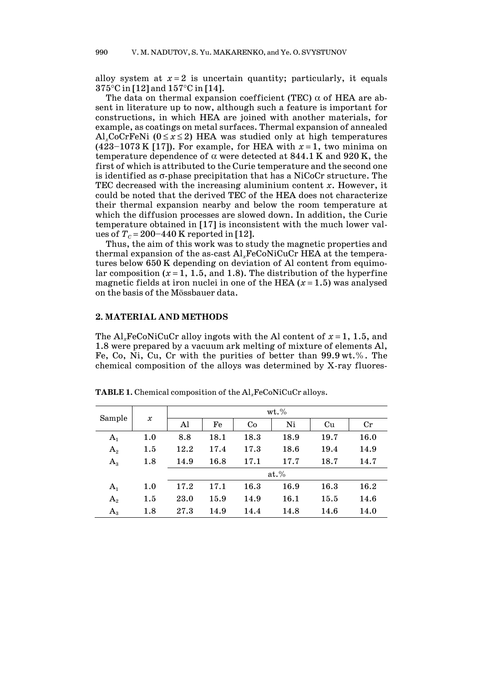alloy system at  $x = 2$  is uncertain quantity; particularly, it equals  $375^{\circ}$ C in [12] and  $157^{\circ}$ C in [14].

The data on thermal expansion coefficient (TEC)  $\alpha$  of HEA are absent in literature up to now, although such a feature is important for constructions, in which HEA are joined with another materials, for example, as coatings on metal surfaces. Thermal expansion of annealed Al<sub>x</sub>CoCrFeNi ( $0 \le x \le 2$ ) HEA was studied only at high temperatures (423–1073 K [17]). For example, for HEA with  $x=1$ , two minima on temperature dependence of  $\alpha$  were detected at 844.1 K and 920 K, the first of which is attributed to the Curie temperature and the second one is identified as  $\sigma$ -phase precipitation that has a NiCoCr structure. The TEC decreased with the increasing aluminium content *x*. However, it could be noted that the derived TEC of the HEA does not characterize their thermal expansion nearby and below the room temperature at which the diffusion processes are slowed down. In addition, the Curie temperature obtained in [17] is inconsistent with the much lower values of  $T_c = 200 - 440$  K reported in [12].

 Thus, the aim of this work was to study the magnetic properties and thermal expansion of the as-cast Al*x*FeCoNiCuCr HEA at the temperatures below 650 K depending on deviation of Al content from equimolar composition  $(x=1, 1.5,$  and 1.8). The distribution of the hyperfine magnetic fields at iron nuclei in one of the HEA  $(x=1.5)$  was analysed on the basis of the Mössbauer data.

## **2. MATERIAL AND METHODS**

The Al<sub>x</sub>FeCoNiCuCr alloy ingots with the Al content of  $x = 1, 1.5$ , and 1.8 were prepared by a vacuum ark melting of mixture of elements Al, Fe, Co, Ni, Cu, Cr with the purities of better than 99.9 wt.%. The chemical composition of the alloys was determined by X-ray fluores-

|                | $\pmb{\mathcal{X}}$ | wt.%    |      |      |      |      |             |
|----------------|---------------------|---------|------|------|------|------|-------------|
| Sample         |                     | Al      | Fe   | Co   | Ni   | Cu   | $_{\rm Cr}$ |
| $A_1$          | 1.0                 | 8.8     | 18.1 | 18.3 | 18.9 | 19.7 | 16.0        |
| A <sub>2</sub> | $1.5\,$             | 12.2    | 17.4 | 17.3 | 18.6 | 19.4 | 14.9        |
| $A_{3}$        | 1.8                 | 14.9    | 16.8 | 17.1 | 17.7 | 18.7 | 14.7        |
|                |                     | $at.$ % |      |      |      |      |             |
| $A_1$          | 1.0                 | 17.2    | 17.1 | 16.3 | 16.9 | 16.3 | 16.2        |
| $A_2$          | 1.5                 | 23.0    | 15.9 | 14.9 | 16.1 | 15.5 | 14.6        |
| $A_{3}$        | 1.8                 | 27.3    | 14.9 | 14.4 | 14.8 | 14.6 | 14.0        |

**TABLE 1.** Chemical composition of the Al*x*FeCoNiCuCr alloys.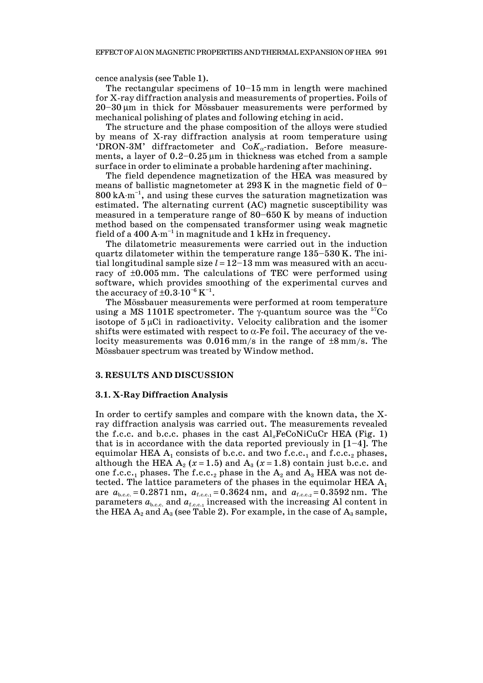cence analysis (see Table 1).

The rectangular specimens of  $10-15$  mm in length were machined for X-ray diffraction analysis and measurements of properties. Foils of 20—30 m in thick for Mössbauer measurements were performed by mechanical polishing of plates and following etching in acid.

 The structure and the phase composition of the alloys were studied by means of X-ray diffraction analysis at room temperature using 'DRON-3M' diffractometer and  $CoK_{\alpha}$ -radiation. Before measurements, a layer of  $0.2-0.25 \mu m$  in thickness was etched from a sample surface in order to eliminate a probable hardening after machining.

 The field dependence magnetization of the HEA was measured by means of ballistic magnetometer at  $293 K$  in the magnetic field of 0–  $800 \text{ kA-m}^{-1}$ , and using these curves the saturation magnetization was estimated. The alternating current (AC) magnetic susceptibility was measured in a temperature range of 80—650 K by means of induction method based on the compensated transformer using weak magnetic field of a 400 A $\cdot$ m<sup>-1</sup> in magnitude and 1 kHz in frequency.

 The dilatometric measurements were carried out in the induction quartz dilatometer within the temperature range 135—530 K. The initial longitudinal sample size  $l = 12-13$  mm was measured with an accuracy of  $\pm 0.005$  mm. The calculations of TEC were performed using software, which provides smoothing of the experimental curves and the accuracy of  $\pm 0.3 \cdot 10^{-6}$  K<sup>-1</sup>.

 The Mössbauer measurements were performed at room temperature using a MS 1101E spectrometer. The  $\gamma$ -quantum source was the <sup>57</sup>Co isotope of  $5 \mu$ Ci in radioactivity. Velocity calibration and the isomer shifts were estimated with respect to  $\alpha$ -Fe foil. The accuracy of the velocity measurements was  $0.016$  mm/s in the range of  $\pm 8$  mm/s. The Mössbauer spectrum was treated by Window method.

#### **3. RESULTS AND DISCUSSION**

#### **3.1. X-Ray Diffraction Analysis**

In order to certify samples and compare with the known data, the Xray diffraction analysis was carried out. The measurements revealed the f.c.c. and b.c.c. phases in the cast Al*x*FeCoNiCuCr HEA (Fig. 1) that is in accordance with the data reported previously in  $[1-4]$ . The equimolar HEA  $A_1$  consists of b.c.c. and two f.c.c.<sub>1</sub> and f.c.c.<sub>2</sub> phases, although the HEA  $A_2$  ( $x=1.5$ ) and  $A_3$  ( $x=1.8$ ) contain just b.c.c. and one f.c.c.<sub>1</sub> phases. The f.c.c.<sub>2</sub> phase in the  $A_2$  and  $A_3$  HEA was not detected. The lattice parameters of the phases in the equimolar HEA  $A_1$ are  $a_{b,c,c} = 0.2871$  nm,  $a_{f,c,c,1} = 0.3624$  nm, and  $a_{f,c,c,2} = 0.3592$  nm. The parameters  $a_{b,c,c}$  and  $a_{f,c,c,1}$  increased with the increasing Al content in the HEA  $A_2$  and  $A_3$  (see Table 2). For example, in the case of  $A_3$  sample,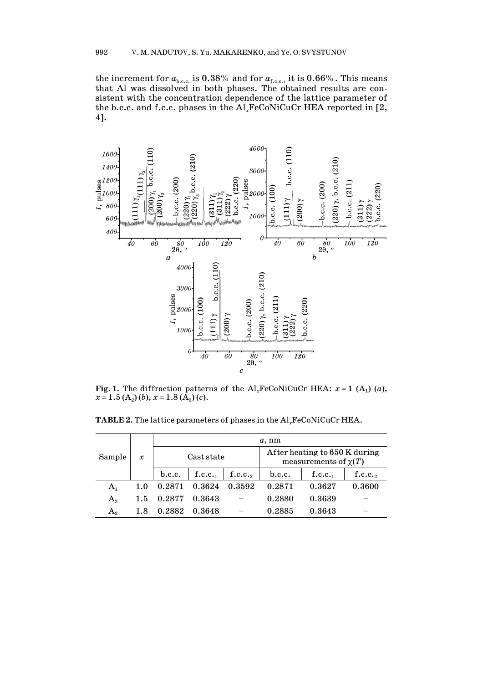the increment for  $a_{b.c.c.}$  is 0.38% and for  $a_{f.c.c.1}$  it is 0.66%. This means that Al was dissolved in both phases. The obtained results are consistent with the concentration dependence of the lattice parameter of the b.c.c. and f.c.c. phases in the Al*x*FeCoNiCuCr HEA reported in [2, 4].



**Fig. 1.** The diffraction patterns of the Al<sub>x</sub>FeCoNiCuCr HEA:  $x = 1$  (A<sub>1</sub>) (*a*),  $x = 1.5$  (A<sub>2</sub>) (*b*),  $x = 1.8$  (A<sub>3</sub>) (*c*).

**TABLE 2.** The lattice parameters of phases in the Al*x*FeCoNiCuCr HEA.

| Sample      | $\boldsymbol{\mathcal{X}}$ | $a$ , nm   |        |         |                                                            |        |         |  |
|-------------|----------------------------|------------|--------|---------|------------------------------------------------------------|--------|---------|--|
|             |                            | Cast state |        |         | After heating to 650 K during<br>measurements of $\chi(T)$ |        |         |  |
|             |                            | b.c.c.     | f.c.c. | f.c.c., | b.c.c.                                                     | f.c.c. | f.c.c., |  |
| $A_{1}$     | 1.0                        | 0.2871     | 0.3624 | 0.3592  | 0.2871                                                     | 0.3627 | 0.3600  |  |
| $A_{2}$     | $1.5\,$                    | 0.2877     | 0.3643 |         | 0.2880                                                     | 0.3639 |         |  |
| $A_{\rm a}$ | 1.8                        | 0.2882     | 0.3648 |         | 0.2885                                                     | 0.3643 |         |  |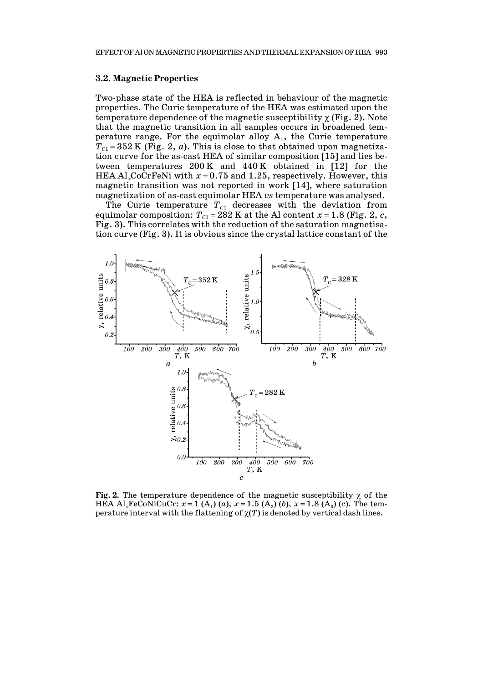#### **3.2. Magnetic Properties**

Two-phase state of the HEA is reflected in behaviour of the magnetic properties. The Curie temperature of the HEA was estimated upon the temperature dependence of the magnetic susceptibility  $\chi$  (Fig. 2). Note that the magnetic transition in all samples occurs in broadened temperature range. For the equimolar alloy  $A_1$ , the Curie temperature  $T_{C1} = 352$  K (Fig. 2, *a*). This is close to that obtained upon magnetization curve for the as-cast HEA of similar composition [15] and lies between temperatures 200 K and 440 K obtained in [12] for the HEA Al<sub>x</sub>CoCrFeNi with  $x = 0.75$  and 1.25, respectively. However, this magnetic transition was not reported in work [14], where saturation magnetization of as-cast equimolar HEA *vs* temperature was analysed.

The Curie temperature  $T_{C1}$  decreases with the deviation from equimolar composition:  $T_{C1}$  = 282 K at the Al content  $x$  = 1.8 (Fig. 2,  $c$ , Fig. 3). This correlates with the reduction of the saturation magnetisation curve (Fig. 3). It is obvious since the crystal lattice constant of the



**Fig. 2.** The temperature dependence of the magnetic susceptibility  $\chi$  of the HEA Al<sub>x</sub>FeCoNiCuCr:  $x = 1(A_1)(a)$ ,  $x = 1.5(A_2)(b)$ ,  $x = 1.8(A_3)(c)$ . The temperature interval with the flattening of  $\chi(T)$  is denoted by vertical dash lines.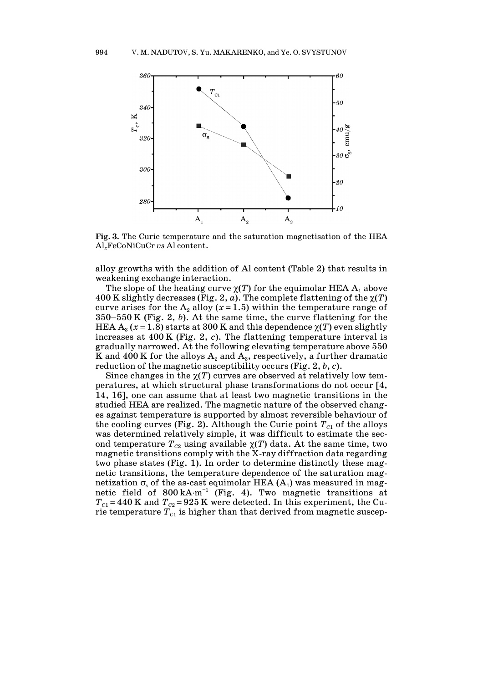

**Fig. 3.** The Curie temperature and the saturation magnetisation of the HEA Al*x*FeCoNiCuCr *vs* Al content.

alloy growths with the addition of Al content (Table 2) that results in weakening exchange interaction.

The slope of the heating curve  $\chi(T)$  for the equimolar HEA  $A_1$  above 400 K slightly decreases (Fig. 2, *a*). The complete flattening of the  $\chi(T)$ curve arises for the  $A_2$  alloy ( $x = 1.5$ ) within the temperature range of 350—550 K (Fig. 2, *b*). At the same time, the curve flattening for the HEA  $A_3$  ( $x = 1.8$ ) starts at 300 K and this dependence  $\chi(T)$  even slightly increases at 400 K (Fig. 2, *c*). The flattening temperature interval is gradually narrowed. At the following elevating temperature above 550 K and 400 K for the alloys  $A_2$  and  $A_3$ , respectively, a further dramatic reduction of the magnetic susceptibility occurs (Fig. 2, *b*, *c*).

Since changes in the  $\chi(T)$  curves are observed at relatively low temperatures, at which structural phase transformations do not occur [4, 14, 16], one can assume that at least two magnetic transitions in the studied HEA are realized. The magnetic nature of the observed changes against temperature is supported by almost reversible behaviour of the cooling curves (Fig. 2). Although the Curie point  $T_{c1}$  of the alloys was determined relatively simple, it was difficult to estimate the second temperature  $T_{c2}$  using available  $\chi(T)$  data. At the same time, two magnetic transitions comply with the X-ray diffraction data regarding two phase states (Fig. 1). In order to determine distinctly these magnetic transitions, the temperature dependence of the saturation magnetization  $\sigma_s$  of the as-cast equimolar HEA (A<sub>1</sub>) was measured in magnetic field of  $800 \text{ kA-m}^{-1}$  (Fig. 4). Two magnetic transitions at  $T_{C1}$  = 440 K and  $T_{C2}$  = 925 K were detected. In this experiment, the Curie temperature  $T_{C_1}$  is higher than that derived from magnetic suscep-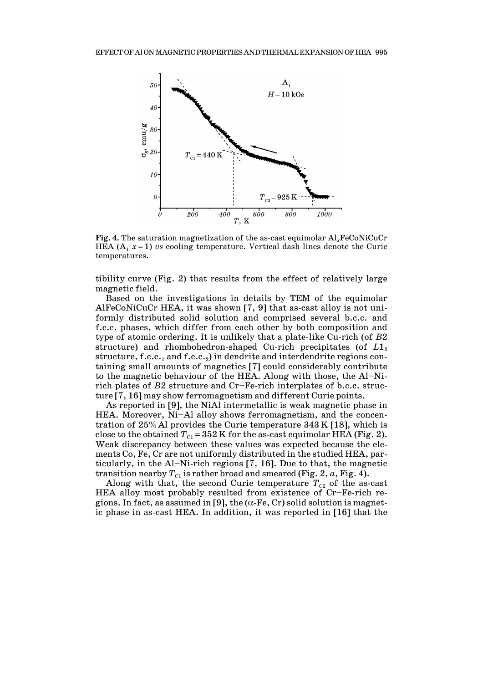

**Fig. 4.** The saturation magnetization of the as-cast equimolar Al*x*FeCoNiCuCr HEA  $(A_1 x = 1)$  *vs* cooling temperature. Vertical dash lines denote the Curie temperatures.

tibility curve (Fig. 2) that results from the effect of relatively large magnetic field.

 Based on the investigations in details by TEM of the equimolar AlFeCoNiCuCr HEA, it was shown [7, 9] that as-cast alloy is not uniformly distributed solid solution and comprised several b.c.c. and f.c.c. phases, which differ from each other by both composition and type of atomic ordering. It is unlikely that a plate-like Cu-rich (of *B*2 structure) and rhombohedron-shaped Cu-rich precipitates (of  $L1_2$ structure, f.c.c.<sub>1</sub> and f.c.c.<sub>2</sub>) in dendrite and interdendrite regions containing small amounts of magnetics [7] could considerably contribute to the magnetic behaviour of the HEA. Along with those, the Al—Nirich plates of *B*2 structure and Cr—Fe-rich interplates of b.c.c. structure [7, 16] may show ferromagnetism and different Curie points.

 As reported in [9], the NiAl intermetallic is weak magnetic phase in HEA. Moreover, Ni-Al alloy shows ferromagnetism, and the concentration of 25%Al provides the Curie temperature 343 K [18], which is close to the obtained  $T_{C1} = 352$  K for the as-cast equimolar HEA (Fig. 2). Weak discrepancy between these values was expected because the elements Co, Fe, Cr are not uniformly distributed in the studied HEA, particularly, in the Al—Ni-rich regions [7, 16]. Due to that, the magnetic transition nearby  $T_{c1}$  is rather broad and smeared (Fig. 2,  $a$ , Fig. 4).

Along with that, the second Curie temperature  $T_{C2}$  of the as-cast HEA alloy most probably resulted from existence of Cr—Fe-rich regions. In fact, as assumed in [9], the  $(\alpha$ -Fe, Cr) solid solution is magnetic phase in as-cast HEA. In addition, it was reported in [16] that the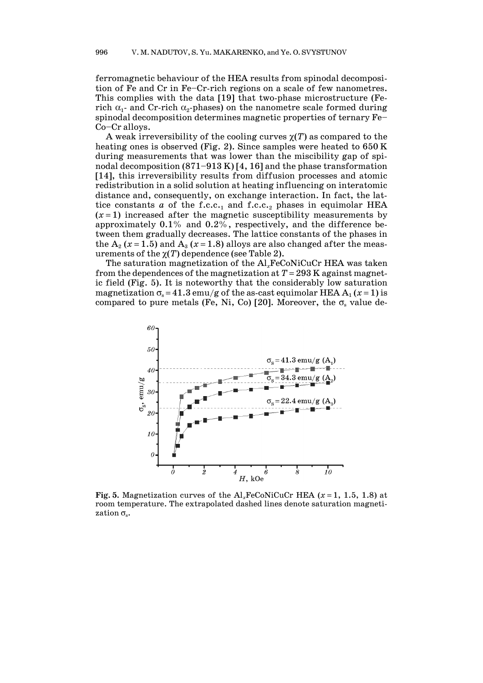ferromagnetic behaviour of the HEA results from spinodal decomposition of Fe and Cr in Fe—Cr-rich regions on a scale of few nanometres. This complies with the data [19] that two-phase microstructure (Ferich  $\alpha_1$ - and Cr-rich  $\alpha_2$ -phases) on the nanometre scale formed during spinodal decomposition determines magnetic properties of ternary Fe— Co—Cr alloys.

A weak irreversibility of the cooling curves  $\chi(T)$  as compared to the heating ones is observed (Fig. 2). Since samples were heated to 650 K during measurements that was lower than the miscibility gap of spinodal decomposition  $(871-913 \text{ K})$  [4, 16] and the phase transformation [14], this irreversibility results from diffusion processes and atomic redistribution in a solid solution at heating influencing on interatomic distance and, consequently, on exchange interaction. In fact, the lattice constants  $a$  of the f.c.c.<sub>1</sub> and f.c.c.<sub>2</sub> phases in equimolar HEA  $(x=1)$  increased after the magnetic susceptibility measurements by approximately 0.1% and 0.2%, respectively, and the difference between them gradually decreases. The lattice constants of the phases in the  $A_2$  ( $x = 1.5$ ) and  $A_3$  ( $x = 1.8$ ) alloys are also changed after the measurements of the  $\chi(T)$  dependence (see Table 2).

 The saturation magnetization of the Al*x*FeCoNiCuCr HEA was taken from the dependences of the magnetization at  $T = 293$  K against magnetic field (Fig. 5). It is noteworthy that the considerably low saturation magnetization  $\sigma_s = 41.3$  emu/g of the as-cast equimolar HEA A<sub>1</sub> ( $x = 1$ ) is compared to pure metals (Fe, Ni, Co) [20]. Moreover, the  $\sigma_s$  value de-



**Fig.** 5. Magnetization curves of the Al<sub>x</sub>FeCoNiCuCr HEA ( $x = 1$ , 1.5, 1.8) at room temperature. The extrapolated dashed lines denote saturation magnetization  $\sigma_{\rm s}$ .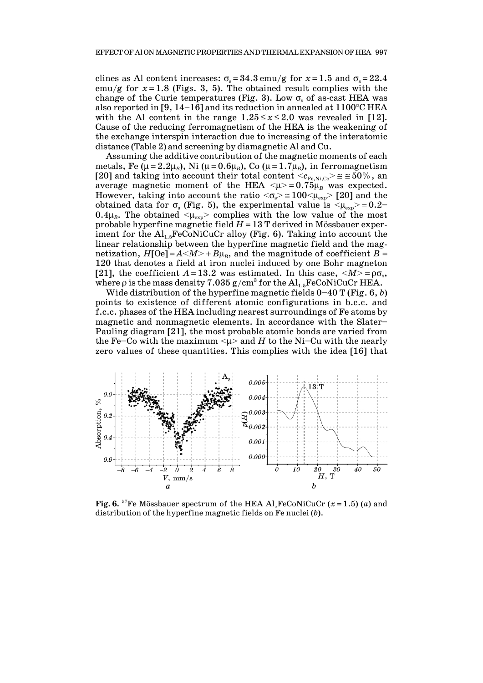clines as Al content increases:  $\sigma_s = 34.3$  emu/g for  $x = 1.5$  and  $\sigma_s = 22.4$ emu/g for  $x=1.8$  (Figs. 3, 5). The obtained result complies with the change of the Curie temperatures (Fig. 3). Low  $\sigma_s$  of as-cast HEA was also reported in [9, 14-16] and its reduction in annealed at  $1100^{\circ}$ C HEA with the Al content in the range  $1.25 \le x \le 2.0$  was revealed in [12]. Cause of the reducing ferromagnetism of the HEA is the weakening of the exchange interspin interaction due to increasing of the interatomic distance (Table 2) and screening by diamagnetic Al and Cu.

 Assuming the additive contribution of the magnetic moments of each metals, Fe ( $\mu = 2.2\mu_B$ ), Ni ( $\mu = 0.6\mu_B$ ), Co ( $\mu = 1.7\mu_B$ ), in ferromagnetism [20] and taking into account their total content  $\langle c_{\text{Fe,Ni},\text{Co}} \rangle \approx 50\%$ , an average magnetic moment of the HEA  $\langle \mu \rangle = 0.75 \mu_B$  was expected. However, taking into account the ratio  $\langle \sigma_s \rangle \approx 100 \langle \mu_{exp} \rangle$  [20] and the obtained data for  $\sigma_s$  (Fig. 5), the experimental value is  $\langle \mu_{exp} \rangle = 0.2$  $0.4\mu_B$ . The obtained  $\langle \mu_{\exp} \rangle$  complies with the low value of the most probable hyperfine magnetic field  $H = 13$  T derived in Mössbauer experiment for the  $\text{Al}_{1.5}\text{FeCoNiCuCr}$  alloy (Fig. 6). Taking into account the linear relationship between the hyperfine magnetic field and the magnetization,  $H[Oe] = A \langle M \rangle + B\mu_B$ , and the magnitude of coefficient  $B =$ 120 that denotes a field at iron nuclei induced by one Bohr magneton [21], the coefficient  $A = 13.2$  was estimated. In this case,  $\langle M \rangle = \rho \sigma_s$ , where  $\rho$  is the mass density 7.035 g/cm<sup>3</sup> for the Al<sub>1.5</sub>FeCoNiCuCr HEA.

 Wide distribution of the hyperfine magnetic fields 0—40 T (Fig. 6, *b*) points to existence of different atomic configurations in b.c.c. and f.c.c. phases of the HEA including nearest surroundings of Fe atoms by magnetic and nonmagnetic elements. In accordance with the Slater— Pauling diagram [21], the most probable atomic bonds are varied from the Fe–Co with the maximum  $\langle \mu \rangle$  and *H* to the Ni–Cu with the nearly zero values of these quantities. This complies with the idea [16] that



**Fig.** 6. <sup>57</sup>Fe Mössbauer spectrum of the HEA Al<sub>x</sub>FeCoNiCuCr ( $x = 1.5$ ) (*a*) and distribution of the hyperfine magnetic fields on Fe nuclei (*b*).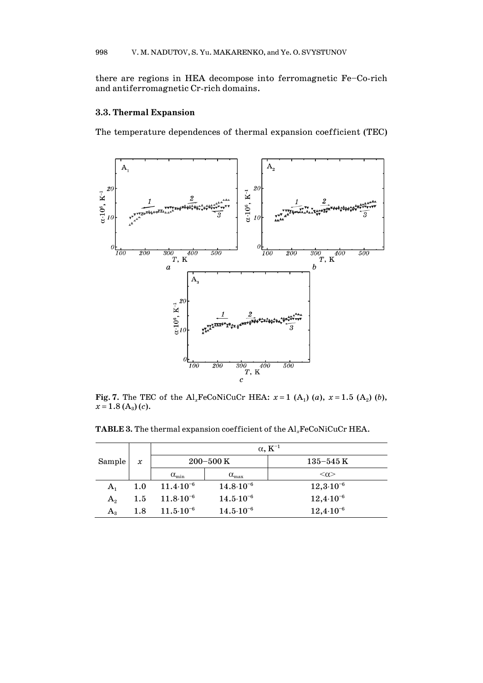there are regions in HEA decompose into ferromagnetic Fe—Co-rich and antiferromagnetic Cr-rich domains.

## **3.3. Thermal Expansion**

The temperature dependences of thermal expansion coefficient (TEC)



**Fig. 7.** The TEC of the  $Al_xFeCoNiCuCr$  HEA:  $x = 1$  (A<sub>1</sub>) (a),  $x = 1.5$  (A<sub>2</sub>) (b),  $x = 1.8$  (A<sub>3</sub>) (*c*).

**TABLE 3.** The thermal expansion coefficient of the Al*x*FeCoNiCuCr HEA.

|                | $\boldsymbol{x}$ | $\alpha$ , $K^{-1}$      |                          |                           |  |  |  |
|----------------|------------------|--------------------------|--------------------------|---------------------------|--|--|--|
| Sample         |                  |                          | $200 - 500$ K            | $135$ – $545\,\mathrm{K}$ |  |  |  |
|                |                  | $\alpha_{\min}$          | $\alpha_{\rm max}$       | $<\!\!\alpha\!\!>$        |  |  |  |
| $A_1$          | 1.0              | $11.4 \cdot 10^{-6}$     | $14.8 \cdot 10^{-6}$     | $12,3.10^{-6}$            |  |  |  |
| $A_{2}$        | $1.5\,$          | $11.8 \cdot 10^{-6}$     | $14.5 \cdot 10^{-6}$     | $12,4.10^{-6}$            |  |  |  |
| $\rm A^{}_{3}$ | 1.8              | $11.5 \!\cdot\! 10^{-6}$ | $14.5 \!\cdot\! 10^{-6}$ | $12,4.10^{-6}$            |  |  |  |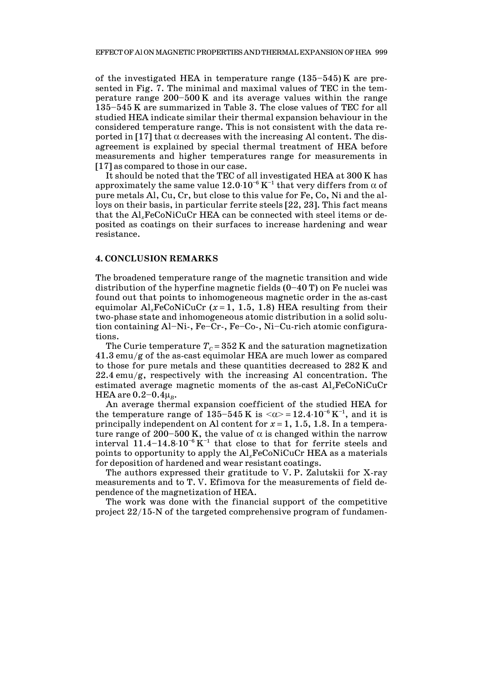of the investigated HEA in temperature range  $(135-545)$  K are presented in Fig. 7. The minimal and maximal values of TEC in the temperature range 200—500 K and its average values within the range 135—545 K are summarized in Table 3. The close values of TEC for all studied HEA indicate similar their thermal expansion behaviour in the considered temperature range. This is not consistent with the data reported in [17] that  $\alpha$  decreases with the increasing Al content. The disagreement is explained by special thermal treatment of HEA before measurements and higher temperatures range for measurements in [17] as compared to those in our case.

 It should be noted that the TEC of all investigated HEA at 300 K has approximately the same value  $12.0 \cdot 10^{-6}$  K<sup>-1</sup> that very differs from  $\alpha$  of pure metals Al, Cu, Cr, but close to this value for Fe, Co, Ni and the alloys on their basis, in particular ferrite steels [22, 23]. This fact means that the Al*x*FeCoNiCuCr HEA can be connected with steel items or deposited as coatings on their surfaces to increase hardening and wear resistance.

### **4. CONCLUSION REMARKS**

The broadened temperature range of the magnetic transition and wide distribution of the hyperfine magnetic fields  $(0-40 \text{ T})$  on Fe nuclei was found out that points to inhomogeneous magnetic order in the as-cast equimolar Al<sub>x</sub>FeCoNiCuCr ( $x=1$ , 1.5, 1.8) HEA resulting from their two-phase state and inhomogeneous atomic distribution in a solid solution containing Al—Ni-, Fe—Cr-, Fe—Co-, Ni—Cu-rich atomic configurations.

The Curie temperature  $T_c = 352$  K and the saturation magnetization 41.3 emu/g of the as-cast equimolar HEA are much lower as compared to those for pure metals and these quantities decreased to 282 K and 22.4 emu/g, respectively with the increasing Al concentration. The estimated average magnetic moments of the as-cast Al*x*FeCoNiCuCr HEA are  $0.2 - 0.4 \mu_B$ .

 An average thermal expansion coefficient of the studied HEA for the temperature range of 135-545 K is  $<\!\alpha\!\geq 12.4\cdot 10^{-6}\,\mathrm{K}^{-1}$ , and it is principally independent on Al content for  $x = 1, 1.5, 1.8$ . In a temperature range of 200–500 K, the value of  $\alpha$  is changed within the narrow interval  $11.4-14.8\cdot10^{-6}$  K<sup>-1</sup> that close to that for ferrite steels and points to opportunity to apply the Al*x*FeCoNiCuCr HEA as a materials for deposition of hardened and wear resistant coatings.

 The authors expressed their gratitude to V. P. Zalutskii for X-ray measurements and to T. V. Efimova for the measurements of field dependence of the magnetization of HEA.

 The work was done with the financial support of the competitive project 22/15-N of the targeted comprehensive program of fundamen